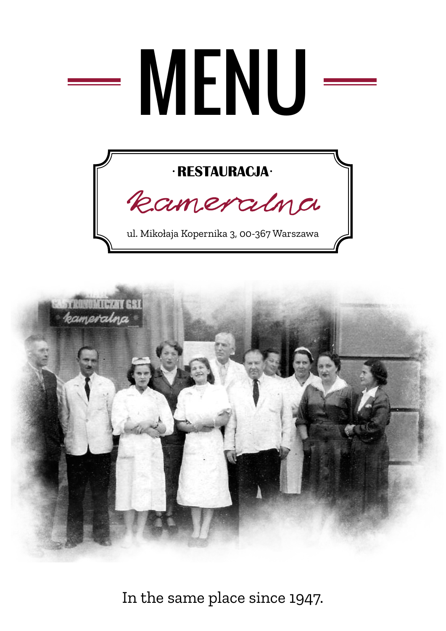# MENU

#### · RESTAURACJA·



ul. Mikołaja Kopernika 3, 00-367 Warszawa



In the same place since 1947.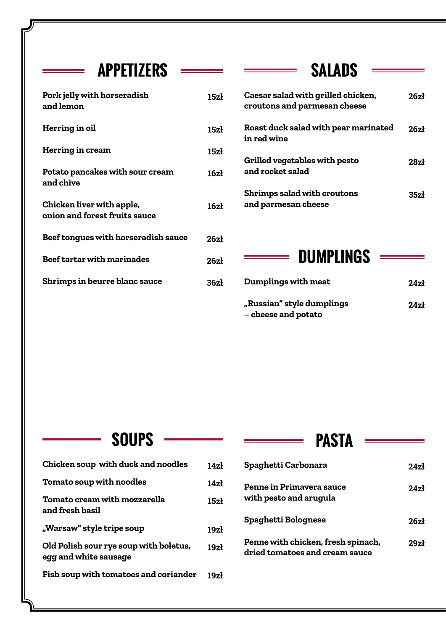#### **SALADS APPETIZERS**

<u> a ser</u>

| Pork jelly with horseradish<br>and lemon                   | 15zł             |
|------------------------------------------------------------|------------------|
| Herring in oil                                             | 15zł             |
| <b>Herring in cream</b>                                    | 15zł             |
| Potato pancakes with sour cream<br>and chive               | 16zł             |
| Chicken liver with apple,<br>onion and forest fruits sauce | 16z <sub>1</sub> |
| <b>Beef tongues with horseradish sauce</b>                 | 26zł             |
| <b>Beef tartar with marinades</b>                          | 26zł             |
| <b>Shrimps in beurre blanc sauce</b>                       | 36zł             |

| Caesar salad with grilled chicken,<br>croutons and parmesan cheese | 26zł             |
|--------------------------------------------------------------------|------------------|
| Roast duck salad with pear marinated<br>in red wine                | 26z1             |
| Grilled vegetables with pesto<br>and rocket salad                  | 28z <sub>1</sub> |
| <b>Shrimps salad with croutons</b><br>and parmesan cheese          | 35zł             |

#### **DUMPLINGS**

| Dumplings with meat                              | 24z <sub>1</sub> |
|--------------------------------------------------|------------------|
| "Russian" style dumplings<br>– cheese and potato | 24z <sub>1</sub> |

#### **SOUPS**

 $\equiv$ 

| Chicken soup with duck and noodles                              | 14z <sup>1</sup> |
|-----------------------------------------------------------------|------------------|
| <b>Tomato soup with noodles</b>                                 | 14z <sub>i</sub> |
| Tomato cream with mozzarella<br>and fresh basil                 | 15z <sub>1</sub> |
| "Warsaw" style tripe soup                                       | 19z <sub>i</sub> |
| Old Polish sour rye soup with boletus,<br>egg and white sausage | 19z <sub>i</sub> |
| Fish soup with tomatoes and coriander                           | 19z <sub>k</sub> |

#### **PASTA**

| Spaghetti Carbonara                                                  | $24z_1$ |
|----------------------------------------------------------------------|---------|
| <b>Penne in Primavera sauce</b><br>with pesto and arugula            | $24z_1$ |
| Spaghetti Bolognese                                                  | 26zł    |
| Penne with chicken, fresh spinach,<br>dried tomatoes and cream sauce | 29zł    |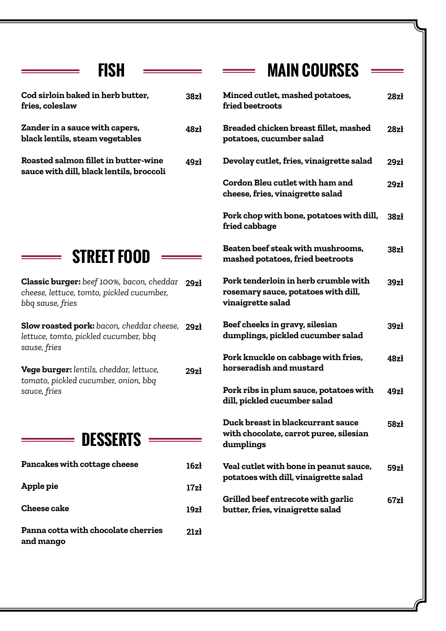#### **FISH**

| Cod sirloin baked in herb butter,<br>fries, coleslaw                             | 38zł |
|----------------------------------------------------------------------------------|------|
| Zander in a sauce with capers,<br>black lentils, steam vegetables                | 48zł |
| Roasted salmon fillet in butter-wine<br>sauce with dill, black lentils, broccoli | 49zł |



÷,

**Classic burger:** *beef 100%, bacon, cheddar*  **29zł** *cheese, lettuce, tomto, pickled cucumber, bbq sause, fries* 

**Slow roasted pork:** *bacon, cheddar cheese,*  **29zł** *lettuce, tomto, pickled cucumber, bbq sause, fries*

**Vege burger:** *lentils, cheddar, lettuce, tomato, pickled cucumber, onion, bbq sauce, fries* **29zł**

#### **DESSERTS**

| Pancakes with cottage cheese                     | 16z <sub>1</sub> |
|--------------------------------------------------|------------------|
| Apple pie                                        | 17z <sub>1</sub> |
| Cheese cake                                      | 19z <sub>l</sub> |
| Panna cotta with chocolate cherries<br>and mango | 21z1             |

## **MAIN COURSES**

| <b>Minced cutlet, mashed potatoes,</b><br>fried beetroots                                        | 28z <sub>i</sub> |
|--------------------------------------------------------------------------------------------------|------------------|
| Breaded chicken breast fillet, mashed<br>potatoes, cucumber salad                                | 28z <sub>i</sub> |
| Devolay cutlet, fries, vinaigrette salad                                                         | 29z <sub>i</sub> |
| Cordon Bleu cutlet with ham and<br>cheese, fries, vinaigrette salad                              | 29z <sub>i</sub> |
| Pork chop with bone, potatoes with dill,<br>fried cabbage                                        | 38z <sub>1</sub> |
| Beaten beef steak with mushrooms,<br>mashed potatoes, fried beetroots                            | 38z <sub>i</sub> |
| Pork tenderloin in herb crumble with<br>rosemary sauce, potatoes with dill,<br>vinaigrette salad | 39z <sub>1</sub> |
| Beef cheeks in gravy, silesian<br>dumplings, pickled cucumber salad                              | 39z <sub>1</sub> |
| Pork knuckle on cabbage with fries,<br>horseradish and mustard                                   | 48z <sub>1</sub> |
| Pork ribs in plum sauce, potatoes with<br>dill, pickled cucumber salad                           | 49zł             |
| Duck breast in blackcurrant sauce<br>with chocolate, carrot puree, silesian<br>dumplings         | 58zł             |
| Veal cutlet with bone in peanut sauce,<br>potatoes with dill, vinaigrette salad                  | 59zł             |
| Grilled beef entrecote with garlic<br>butter, fries, vinaigrette salad                           | 67zł             |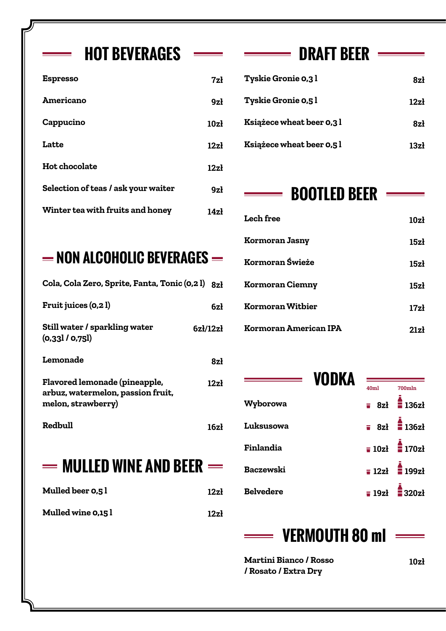#### **HOT BEVERAGES**  $\longrightarrow$  **DRAFT BEER**  $\longrightarrow$

| <b>Espresso</b>                     | 7zł              | <b>Tyskie Gronie 0,3 l</b>       |
|-------------------------------------|------------------|----------------------------------|
| Americano                           | 9z <sub>k</sub>  | <b>Tyskie Gronie 0,5 l</b>       |
| Cappucino                           | 10z <sub>i</sub> | Książece wheat beer 0,3          |
| Latte                               | 12z <sub>i</sub> | <b>Książece wheat beer 0,5 l</b> |
| <b>Hot chocolate</b>                | 12z <sub>i</sub> |                                  |
| Selection of teas / ask your waiter | 9z <sub>i</sub>  | <b>BOOTLED</b>                   |
| Winter tea with fruits and honey    | 14z <sub>i</sub> | $T$ sah fros                     |

### **NON ALCOHOLIC BEVERAGES**

| Cola, Cola Zero, Sprite, Fanta, Tonic (0,2 l) 8zł                                               |                                |
|-------------------------------------------------------------------------------------------------|--------------------------------|
| <b>Fruit juices (0,2 l)</b>                                                                     | 6zł                            |
| Still water / sparkling water<br>(0.33] / 0.75]                                                 | $6z$ <i>l</i> /12 $z$ <i>l</i> |
| Lemonade                                                                                        | 8zł                            |
| <b>Flavored lemonade (pineapple,</b><br>arbuz, watermelon, passion fruit,<br>melon, strawberry) | 12z <sub>i</sub>               |
| Redbull                                                                                         | 16z <sub>i</sub>               |
| $=$ Mulled wine and beer $=$                                                                    |                                |
| Mulled beer 0,5 l                                                                               | 12zł                           |
| <b>Mulled wine 0,15 l</b>                                                                       | 12zł                           |

| 7zł             | <b>Tyskie Gronie 0,3 l</b> | 8zł              |
|-----------------|----------------------------|------------------|
| 9z <sub>i</sub> | <b>Tyskie Gronie 0,5 l</b> | 12z <sub>i</sub> |
| 10zł            | Książece wheat beer 0,3 l  | 8zł              |
| 12zł            | Książece wheat beer 0,5 l  | 13z <sub>i</sub> |
|                 |                            |                  |

#### $\equiv$ **BOOTLED BEER**  $=$

| <b>Lech free</b>             | 10z <sub>l</sub> |
|------------------------------|------------------|
| <b>Kormoran Jasny</b>        | 15z <sub>1</sub> |
| Kormoran Świeże              | 15zł             |
| <b>Kormoran Ciemny</b>       | 15z <sub>1</sub> |
| Kormoran Witbier             | 17z <sub>1</sub> |
| <b>Kormoran American IPA</b> | 21zł             |

| 40ml         | 700mln         |
|--------------|----------------|
|              | $= 8z1$ 136zł  |
|              | $= 8z1$ 136zł  |
|              | $= 10z1$ 170zł |
|              | $= 12z1$ 199zł |
|              | $= 19z1$ 320zł |
| <b>VODKA</b> |                |

#### **VERMOUTH 80 ml** E

**Martini Bianco / Rosso / Rosato / Extra Dry**

**10zł**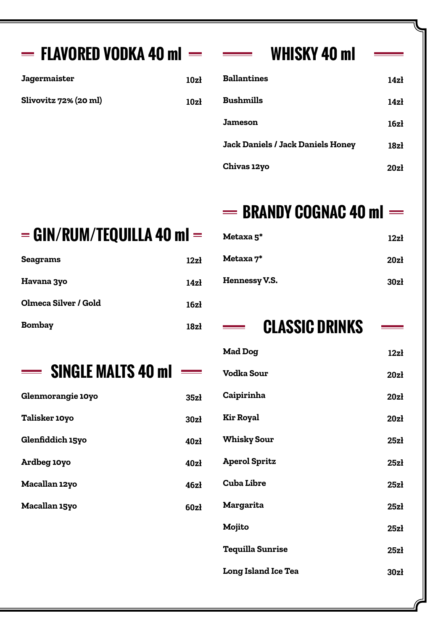| $=$ FLAVORED VODKA 40 ml $=$   |                  | <b>WHISKY 40 ml</b>                      |                  |
|--------------------------------|------------------|------------------------------------------|------------------|
| <b>Jagermaister</b>            | 10z <sub>i</sub> | <b>Ballantines</b>                       | 14z <sub>1</sub> |
| Slivovitz 72% (20 ml)          | 10z <sub>1</sub> | <b>Bushmills</b>                         | 14z <sub>1</sub> |
|                                |                  | <b>Jameson</b>                           | 16z <sub>i</sub> |
|                                |                  | <b>Jack Daniels / Jack Daniels Honey</b> | 18z <sub>1</sub> |
|                                |                  | Chivas 12yo                              | 20z <sub>1</sub> |
|                                |                  | $=$ BRANDY COGNAC 40 ml $=$              |                  |
| $=$ GIN/RUM/TEQUILLA 40 ml $=$ |                  | Metaxa <sub>5</sub> *                    | 12z <sub>i</sub> |
| <b>Seagrams</b>                | 12z <sub>1</sub> | Metaxa 7*                                | 20z <sub>1</sub> |
| Havana 3yo                     | 14z <sub>1</sub> | Hennessy V.S.                            | 30z <sub>1</sub> |
| Olmeca Silver / Gold           | 16z <sub>1</sub> |                                          |                  |
|                                |                  |                                          |                  |
| <b>Bombay</b>                  | 18z <sub>1</sub> | <b>CLASSIC DRINKS</b>                    |                  |
|                                |                  | <b>Mad Dog</b>                           | 12z <sub>1</sub> |
| <b>SINGLE MALTS 40 ml ===</b>  |                  | <b>Vodka Sour</b>                        | 20z              |
| Glenmorangie 10yo              | 35z <sub>1</sub> | <b>Caipirinha</b>                        | 20z <sub>i</sub> |
| <b>Talisker 10yo</b>           | 30z <sub>1</sub> | <b>Kir Royal</b>                         | 20z <sub>i</sub> |
| Glenfiddich 15yo               | 40z              | <b>Whisky Sour</b>                       | 25z <sub>1</sub> |
| Ardbeg 10yo                    | 40z <sub>1</sub> | <b>Aperol Spritz</b>                     | 25z <sub>1</sub> |
| Macallan 12yo                  | 46z <sub>1</sub> | <b>Cuba Libre</b>                        | 25z <sub>1</sub> |
| <b>Macallan 15yo</b>           | 60zł             | <b>Margarita</b>                         | 25z <sub>1</sub> |
|                                |                  | Mojito                                   | 25z <sub>1</sub> |
|                                |                  | <b>Tequilla Sunrise</b>                  | 25z <sub>1</sub> |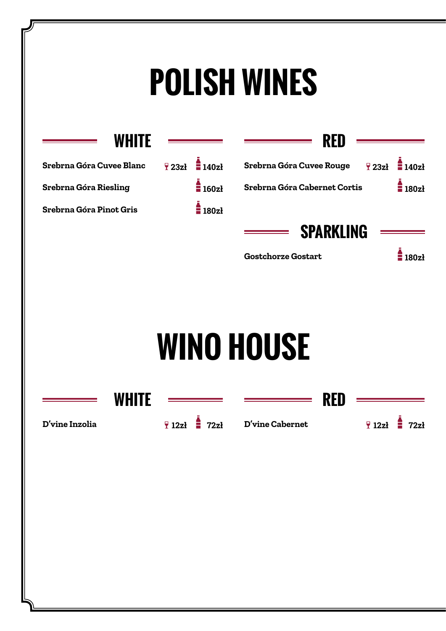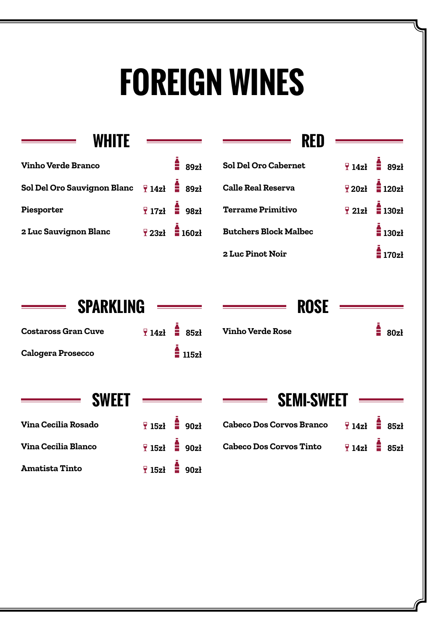## **FOREIGN WINES**